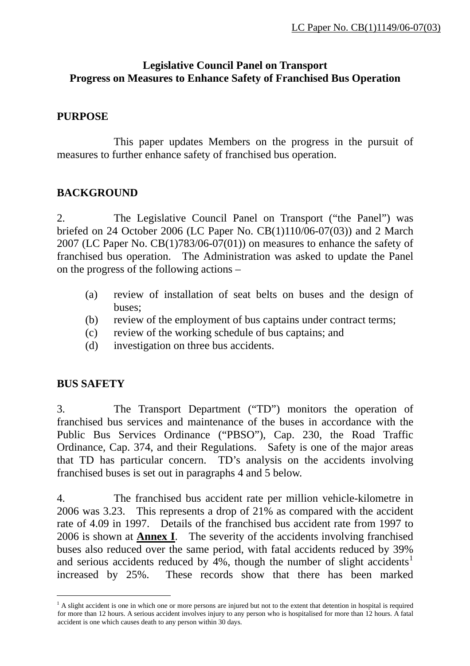### **Legislative Council Panel on Transport Progress on Measures to Enhance Safety of Franchised Bus Operation**

#### **PURPOSE**

 This paper updates Members on the progress in the pursuit of measures to further enhance safety of franchised bus operation.

## **BACKGROUND**

2. The Legislative Council Panel on Transport ("the Panel") was briefed on 24 October 2006 (LC Paper No. CB(1)110/06-07(03)) and 2 March 2007 (LC Paper No. [CB\(1\)783/06-07\(01\)](http://www.legco.gov.hk/yr06-07/english/panels/tp/papers/tp0126cb1-783-1-e.pdf)) on measures to enhance the safety of franchised bus operation. The Administration was asked to update the Panel on the progress of the following actions –

- (a) review of installation of seat belts on buses and the design of buses;
- (b) review of the employment of bus captains under contract terms;
- (c) review of the working schedule of bus captains; and
- (d) investigation on three bus accidents.

#### **BUS SAFETY**

 $\overline{a}$ 

3. The Transport Department ("TD") monitors the operation of franchised bus services and maintenance of the buses in accordance with the Public Bus Services Ordinance ("PBSO"), Cap. 230, the Road Traffic Ordinance, Cap. 374, and their Regulations. Safety is one of the major areas that TD has particular concern. TD's analysis on the accidents involving franchised buses is set out in paragraphs 4 and 5 below.

4. The franchised bus accident rate per million vehicle-kilometre in 2006 was 3.23. This represents a drop of 21% as compared with the accident rate of 4.09 in 1997. Details of the franchised bus accident rate from 1997 to 2006 is shown at **Annex I**. The severity of the accidents involving franchised buses also reduced over the same period, with fatal accidents reduced by 39% and serious accidents reduced by 4%, though the number of slight accidents<sup>[1](#page-0-0)</sup> increased by 25%. These records show that there has been marked

<span id="page-0-0"></span><sup>&</sup>lt;sup>1</sup> A slight accident is one in which one or more persons are injured but not to the extent that detention in hospital is required for more than 12 hours. A serious accident involves injury to any person who is hospitalised for more than 12 hours. A fatal accident is one which causes death to any person within 30 days.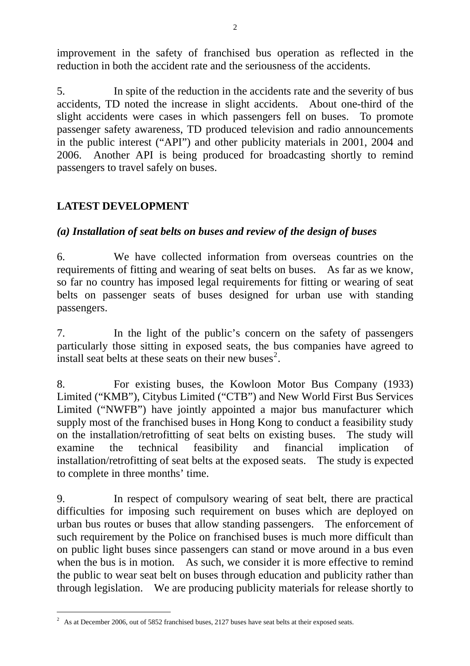improvement in the safety of franchised bus operation as reflected in the reduction in both the accident rate and the seriousness of the accidents.

5. In spite of the reduction in the accidents rate and the severity of bus accidents, TD noted the increase in slight accidents. About one-third of the slight accidents were cases in which passengers fell on buses. To promote passenger safety awareness, TD produced television and radio announcements in the public interest ("API") and other publicity materials in 2001, 2004 and 2006. Another API is being produced for broadcasting shortly to remind passengers to travel safely on buses.

# **LATEST DEVELOPMENT**

 $\overline{a}$ 

# *(a) Installation of seat belts on buses and review of the design of buses*

6. We have collected information from overseas countries on the requirements of fitting and wearing of seat belts on buses. As far as we know, so far no country has imposed legal requirements for fitting or wearing of seat belts on passenger seats of buses designed for urban use with standing passengers.

7. In the light of the public's concern on the safety of passengers particularly those sitting in exposed seats, the bus companies have agreed to install seat belts at these seats on their new buses<sup>[2](#page-1-0)</sup>.

8. For existing buses, the Kowloon Motor Bus Company (1933) Limited ("KMB"), Citybus Limited ("CTB") and New World First Bus Services Limited ("NWFB") have jointly appointed a major bus manufacturer which supply most of the franchised buses in Hong Kong to conduct a feasibility study on the installation/retrofitting of seat belts on existing buses. The study will examine the technical feasibility and financial implication of installation/retrofitting of seat belts at the exposed seats. The study is expected to complete in three months' time.

9. In respect of compulsory wearing of seat belt, there are practical difficulties for imposing such requirement on buses which are deployed on urban bus routes or buses that allow standing passengers. The enforcement of such requirement by the Police on franchised buses is much more difficult than on public light buses since passengers can stand or move around in a bus even when the bus is in motion. As such, we consider it is more effective to remind the public to wear seat belt on buses through education and publicity rather than through legislation. We are producing publicity materials for release shortly to

<span id="page-1-0"></span><sup>&</sup>lt;sup>2</sup> As at December 2006, out of 5852 franchised buses, 2127 buses have seat belts at their exposed seats.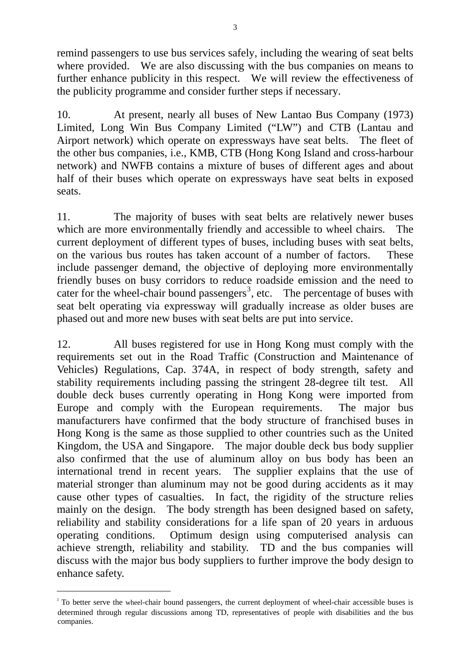<span id="page-2-0"></span>remind passengers to use bus services safely, including the wearing of seat belts where provided. We are also discussing with the bus companies on means to further enhance publicity in this respect. We will review the effectiveness of the publicity programme and consider further steps if necessary.

10. At present, nearly all buses of New Lantao Bus Company (1973) Limited, Long Win Bus Company Limited ("LW") and CTB (Lantau and Airport network) which operate on expressways have seat belts. The fleet of the other bus companies, i.e., KMB, CTB (Hong Kong Island and cross-harbour network) and NWFB contains a mixture of buses of different ages and about half of their buses which operate on expressways have seat belts in exposed seats.

11. The majority of buses with seat belts are relatively newer buses which are more environmentally friendly and accessible to wheel chairs. The current deployment of different types of buses, including buses with seat belts, on the various bus routes has taken account of a number of factors. These include passenger demand, the objective of deploying more environmentally friendly buses on busy corridors to reduce roadside emission and the need to cater for the wheel-chair bound passengers<sup>[3](#page-2-0)</sup>, etc. The percentage of buses with seat belt operating via expressway will gradually increase as older buses are phased out and more new buses with seat belts are put into service.

12. All buses registered for use in Hong Kong must comply with the requirements set out in the Road Traffic (Construction and Maintenance of Vehicles) Regulations, Cap. 374A, in respect of body strength, safety and stability requirements including passing the stringent 28-degree tilt test. All double deck buses currently operating in Hong Kong were imported from Europe and comply with the European requirements. The major bus manufacturers have confirmed that the body structure of franchised buses in Hong Kong is the same as those supplied to other countries such as the United Kingdom, the USA and Singapore. The major double deck bus body supplier also confirmed that the use of aluminum alloy on bus body has been an international trend in recent years. The supplier explains that the use of material stronger than aluminum may not be good during accidents as it may cause other types of casualties. In fact, the rigidity of the structure relies mainly on the design. The body strength has been designed based on safety, reliability and stability considerations for a life span of 20 years in arduous operating conditions. Optimum design using computerised analysis can achieve strength, reliability and stability. TD and the bus companies will discuss with the major bus body suppliers to further improve the body design to enhance safety.

 $\overline{a}$ 

<sup>&</sup>lt;sup>3</sup> To better serve the wheel-chair bound passengers, the current deployment of wheel-chair accessible buses is determined through regular discussions among TD, representatives of people with disabilities and the bus companies.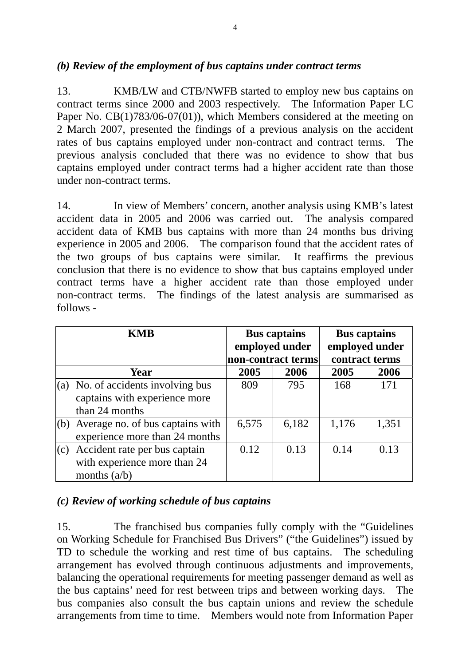#### *(b) Review of the employment of bus captains under contract terms*

13. KMB/LW and CTB/NWFB started to employ new bus captains on contract terms since 2000 and 2003 respectively. The Information Paper LC Paper No. CB(1)783/06-07(01)), which Members considered at the meeting on 2 March 2007, presented the findings of a previous analysis on the accident rates of bus captains employed under non-contract and contract terms. The previous analysis concluded that there was no evidence to show that bus captains employed under contract terms had a higher accident rate than those under non-contract terms.

14. In view of Members' concern, another analysis using KMB's latest accident data in 2005 and 2006 was carried out. The analysis compared accident data of KMB bus captains with more than 24 months bus driving experience in 2005 and 2006. The comparison found that the accident rates of the two groups of bus captains were similar. It reaffirms the previous conclusion that there is no evidence to show that bus captains employed under contract terms have a higher accident rate than those employed under non-contract terms. The findings of the latest analysis are summarised as follows -

|     | <b>KMB</b>                                                                              | <b>Bus captains</b><br>employed under<br>non-contract terms |       | <b>Bus captains</b><br>employed under<br>contract terms |       |
|-----|-----------------------------------------------------------------------------------------|-------------------------------------------------------------|-------|---------------------------------------------------------|-------|
|     | Year                                                                                    | 2005                                                        | 2006  | 2005                                                    | 2006  |
|     | $(a)$ No. of accidents involving bus<br>captains with experience more<br>than 24 months | 809                                                         | 795   | 168                                                     | 171   |
| (b) | Average no. of bus captains with<br>experience more than 24 months                      | 6,575                                                       | 6,182 | 1,176                                                   | 1,351 |
| (c) | Accident rate per bus captain<br>with experience more than 24<br>months $(a/b)$         | 0.12                                                        | 0.13  | 0.14                                                    | 0.13  |

#### *(c) Review of working schedule of bus captains*

15. The franchised bus companies fully comply with the "Guidelines on Working Schedule for Franchised Bus Drivers" ("the Guidelines") issued by TD to schedule the working and rest time of bus captains. The scheduling arrangement has evolved through continuous adjustments and improvements, balancing the operational requirements for meeting passenger demand as well as the bus captains' need for rest between trips and between working days. The bus companies also consult the bus captain unions and review the schedule arrangements from time to time. Members would note from Information Paper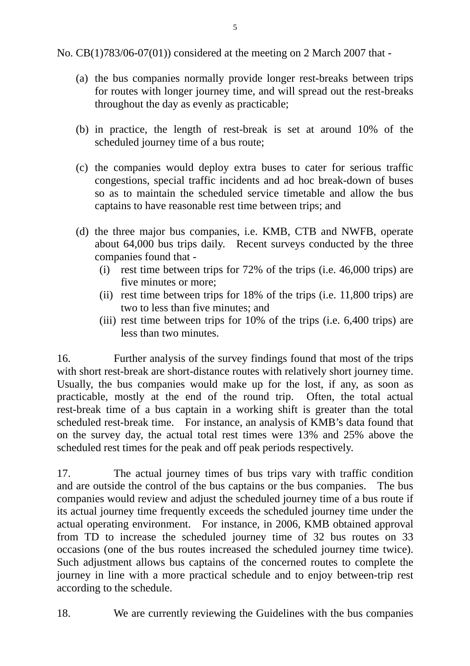No. CB(1)783/06-07(01)) considered at the meeting on 2 March 2007 that -

- (a) the bus companies normally provide longer rest-breaks between trips for routes with longer journey time, and will spread out the rest-breaks throughout the day as evenly as practicable;
- (b) in practice, the length of rest-break is set at around 10% of the scheduled journey time of a bus route;
- (c) the companies would deploy extra buses to cater for serious traffic congestions, special traffic incidents and ad hoc break-down of buses so as to maintain the scheduled service timetable and allow the bus captains to have reasonable rest time between trips; and
- (d) the three major bus companies, i.e. KMB, CTB and NWFB, operate about 64,000 bus trips daily. Recent surveys conducted by the three companies found that -
	- (i) rest time between trips for 72% of the trips (i.e. 46,000 trips) are five minutes or more;
	- (ii) rest time between trips for 18% of the trips (i.e. 11,800 trips) are two to less than five minutes; and
	- (iii) rest time between trips for 10% of the trips (i.e. 6,400 trips) are less than two minutes.

16. Further analysis of the survey findings found that most of the trips with short rest-break are short-distance routes with relatively short journey time. Usually, the bus companies would make up for the lost, if any, as soon as practicable, mostly at the end of the round trip. Often, the total actual rest-break time of a bus captain in a working shift is greater than the total scheduled rest-break time. For instance, an analysis of KMB's data found that on the survey day, the actual total rest times were 13% and 25% above the scheduled rest times for the peak and off peak periods respectively.

17. The actual journey times of bus trips vary with traffic condition and are outside the control of the bus captains or the bus companies. The bus companies would review and adjust the scheduled journey time of a bus route if its actual journey time frequently exceeds the scheduled journey time under the actual operating environment. For instance, in 2006, KMB obtained approval from TD to increase the scheduled journey time of 32 bus routes on 33 occasions (one of the bus routes increased the scheduled journey time twice). Such adjustment allows bus captains of the concerned routes to complete the journey in line with a more practical schedule and to enjoy between-trip rest according to the schedule.

18. We are currently reviewing the Guidelines with the bus companies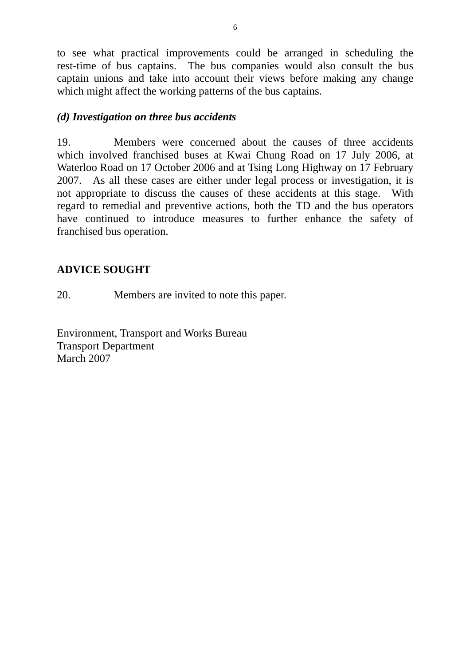to see what practical improvements could be arranged in scheduling the rest-time of bus captains. The bus companies would also consult the bus captain unions and take into account their views before making any change which might affect the working patterns of the bus captains.

#### *(d) Investigation on three bus accidents*

19. Members were concerned about the causes of three accidents which involved franchised buses at Kwai Chung Road on 17 July 2006, at Waterloo Road on 17 October 2006 and at Tsing Long Highway on 17 February 2007. As all these cases are either under legal process or investigation, it is not appropriate to discuss the causes of these accidents at this stage. With regard to remedial and preventive actions, both the TD and the bus operators have continued to introduce measures to further enhance the safety of franchised bus operation.

# **ADVICE SOUGHT**

20. Members are invited to note this paper.

Environment, Transport and Works Bureau Transport Department March 2007